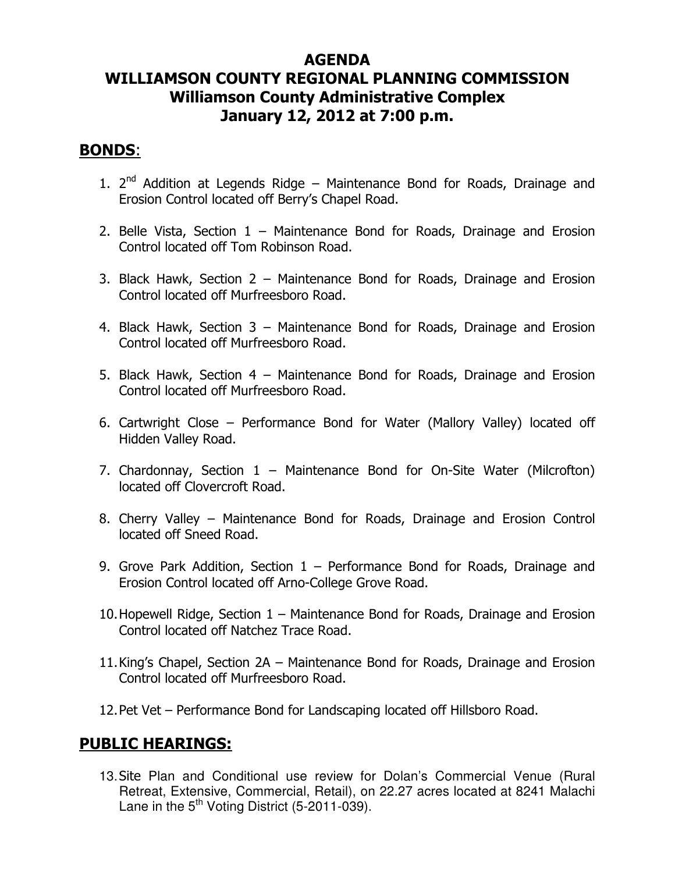# AGENDA WILLIAMSON COUNTY REGIONAL PLANNING COMMISSION Williamson County Administrative Complex January 12, 2012 at 7:00 p.m.

#### BONDS:

- 1.  $2^{nd}$  Addition at Legends Ridge Maintenance Bond for Roads, Drainage and Erosion Control located off Berry's Chapel Road.
- 2. Belle Vista, Section 1 Maintenance Bond for Roads, Drainage and Erosion Control located off Tom Robinson Road.
- 3. Black Hawk, Section 2 Maintenance Bond for Roads, Drainage and Erosion Control located off Murfreesboro Road.
- 4. Black Hawk, Section 3 Maintenance Bond for Roads, Drainage and Erosion Control located off Murfreesboro Road.
- 5. Black Hawk, Section 4 Maintenance Bond for Roads, Drainage and Erosion Control located off Murfreesboro Road.
- 6. Cartwright Close Performance Bond for Water (Mallory Valley) located off Hidden Valley Road.
- 7. Chardonnay, Section 1 Maintenance Bond for On-Site Water (Milcrofton) located off Clovercroft Road.
- 8. Cherry Valley Maintenance Bond for Roads, Drainage and Erosion Control located off Sneed Road.
- 9. Grove Park Addition, Section 1 Performance Bond for Roads, Drainage and Erosion Control located off Arno-College Grove Road.
- 10.Hopewell Ridge, Section 1 Maintenance Bond for Roads, Drainage and Erosion Control located off Natchez Trace Road.
- 11.King's Chapel, Section 2A Maintenance Bond for Roads, Drainage and Erosion Control located off Murfreesboro Road.
- 12.Pet Vet Performance Bond for Landscaping located off Hillsboro Road.

### PUBLIC HEARINGS:

13. Site Plan and Conditional use review for Dolan's Commercial Venue (Rural Retreat, Extensive, Commercial, Retail), on 22.27 acres located at 8241 Malachi Lane in the  $5<sup>th</sup>$  Voting District (5-2011-039).